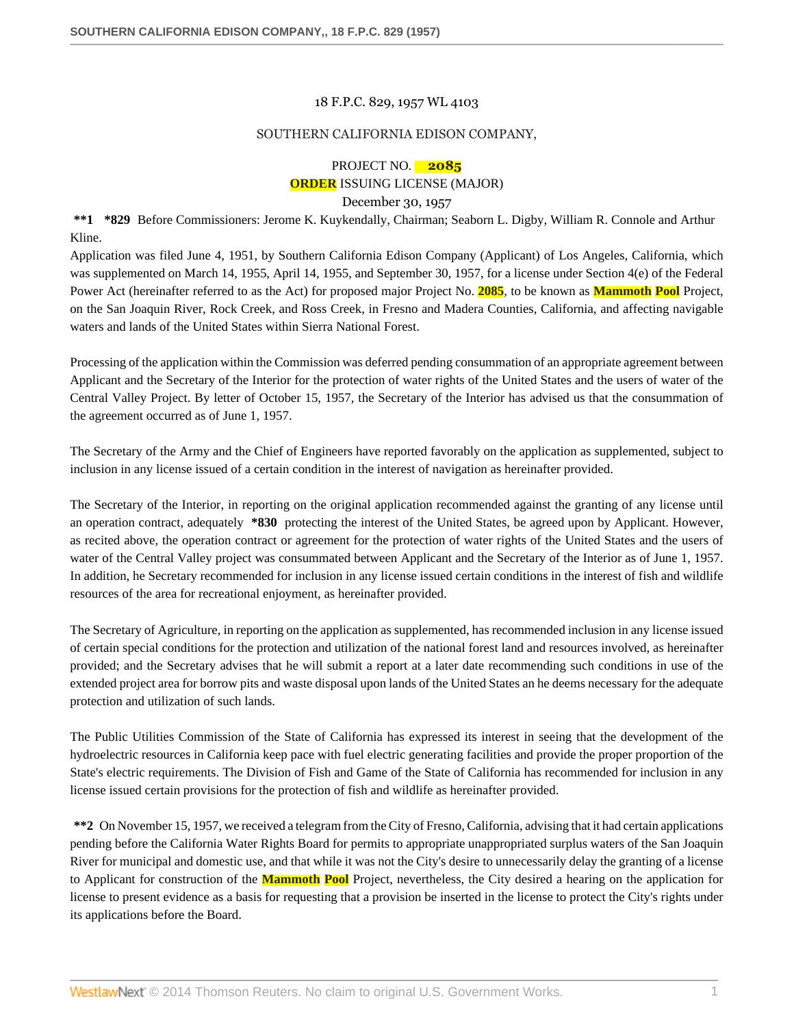#### 18 F.P.C. 829, 1957 WL 4103

### SOUTHERN CALIFORNIA EDISON COMPANY,

# PROJECT NO. **2085 ORDER** ISSUING LICENSE (MAJOR)

December 30, 1957

**\*\*1 \*829** Before Commissioners: Jerome K. Kuykendally, Chairman; Seaborn L. Digby, William R. Connole and Arthur Kline.

Application was filed June 4, 1951, by Southern California Edison Company (Applicant) of Los Angeles, California, which was supplemented on March 14, 1955, April 14, 1955, and September 30, 1957, for a license under Section 4(e) of the Federal Power Act (hereinafter referred to as the Act) for proposed major Project No. **2085**, to be known as **Mammoth Pool** Project, on the San Joaquin River, Rock Creek, and Ross Creek, in Fresno and Madera Counties, California, and affecting navigable waters and lands of the United States within Sierra National Forest.

Processing of the application within the Commission was deferred pending consummation of an appropriate agreement between Applicant and the Secretary of the Interior for the protection of water rights of the United States and the users of water of the Central Valley Project. By letter of October 15, 1957, the Secretary of the Interior has advised us that the consummation of the agreement occurred as of June 1, 1957.

The Secretary of the Army and the Chief of Engineers have reported favorably on the application as supplemented, subject to inclusion in any license issued of a certain condition in the interest of navigation as hereinafter provided.

The Secretary of the Interior, in reporting on the original application recommended against the granting of any license until an operation contract, adequately **\*830** protecting the interest of the United States, be agreed upon by Applicant. However, as recited above, the operation contract or agreement for the protection of water rights of the United States and the users of water of the Central Valley project was consummated between Applicant and the Secretary of the Interior as of June 1, 1957. In addition, he Secretary recommended for inclusion in any license issued certain conditions in the interest of fish and wildlife resources of the area for recreational enjoyment, as hereinafter provided.

The Secretary of Agriculture, in reporting on the application as supplemented, has recommended inclusion in any license issued of certain special conditions for the protection and utilization of the national forest land and resources involved, as hereinafter provided; and the Secretary advises that he will submit a report at a later date recommending such conditions in use of the extended project area for borrow pits and waste disposal upon lands of the United States an he deems necessary for the adequate protection and utilization of such lands.

The Public Utilities Commission of the State of California has expressed its interest in seeing that the development of the hydroelectric resources in California keep pace with fuel electric generating facilities and provide the proper proportion of the State's electric requirements. The Division of Fish and Game of the State of California has recommended for inclusion in any license issued certain provisions for the protection of fish and wildlife as hereinafter provided.

**\*\*2** On November 15, 1957, we received a telegram from the City of Fresno, California, advising that it had certain applications pending before the California Water Rights Board for permits to appropriate unappropriated surplus waters of the San Joaquin River for municipal and domestic use, and that while it was not the City's desire to unnecessarily delay the granting of a license to Applicant for construction of the **Mammoth Pool** Project, nevertheless, the City desired a hearing on the application for license to present evidence as a basis for requesting that a provision be inserted in the license to protect the City's rights under its applications before the Board.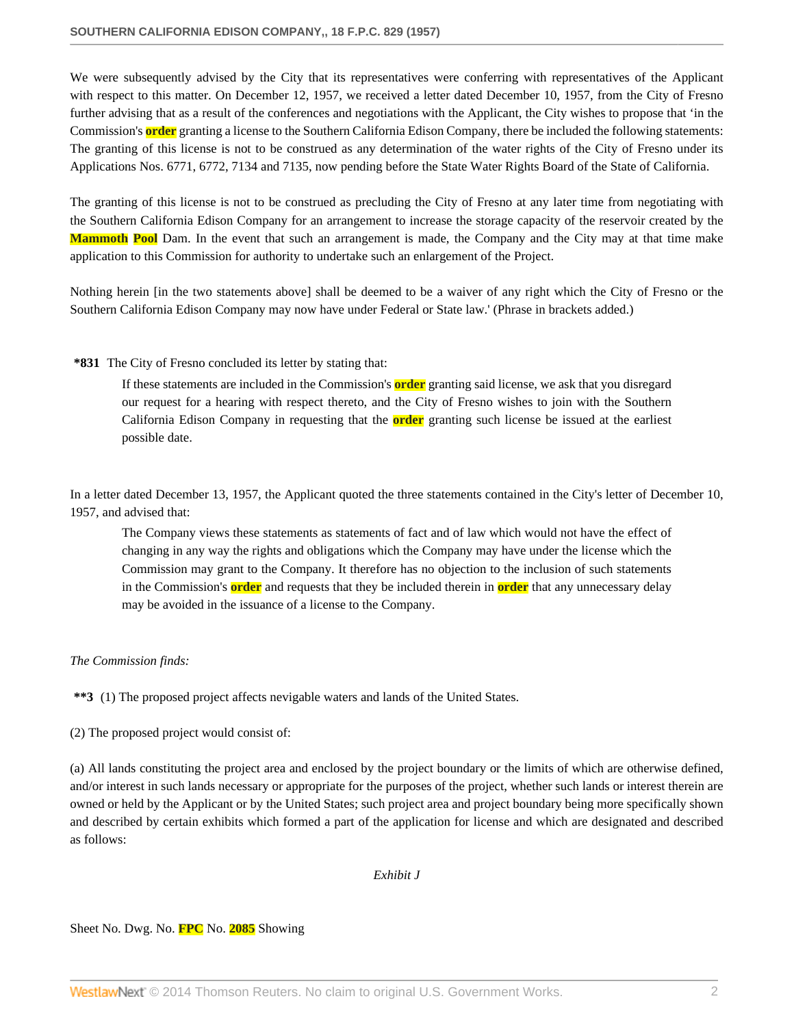We were subsequently advised by the City that its representatives were conferring with representatives of the Applicant with respect to this matter. On December 12, 1957, we received a letter dated December 10, 1957, from the City of Fresno further advising that as a result of the conferences and negotiations with the Applicant, the City wishes to propose that 'in the Commission's **order** granting a license to the Southern California Edison Company, there be included the following statements: The granting of this license is not to be construed as any determination of the water rights of the City of Fresno under its Applications Nos. 6771, 6772, 7134 and 7135, now pending before the State Water Rights Board of the State of California.

The granting of this license is not to be construed as precluding the City of Fresno at any later time from negotiating with the Southern California Edison Company for an arrangement to increase the storage capacity of the reservoir created by the **Mammoth Pool** Dam. In the event that such an arrangement is made, the Company and the City may at that time make application to this Commission for authority to undertake such an enlargement of the Project.

Nothing herein [in the two statements above] shall be deemed to be a waiver of any right which the City of Fresno or the Southern California Edison Company may now have under Federal or State law.' (Phrase in brackets added.)

#### **\*831** The City of Fresno concluded its letter by stating that:

If these statements are included in the Commission's **order** granting said license, we ask that you disregard our request for a hearing with respect thereto, and the City of Fresno wishes to join with the Southern California Edison Company in requesting that the **order** granting such license be issued at the earliest possible date.

In a letter dated December 13, 1957, the Applicant quoted the three statements contained in the City's letter of December 10, 1957, and advised that:

The Company views these statements as statements of fact and of law which would not have the effect of changing in any way the rights and obligations which the Company may have under the license which the Commission may grant to the Company. It therefore has no objection to the inclusion of such statements in the Commission's **order** and requests that they be included therein in **order** that any unnecessary delay may be avoided in the issuance of a license to the Company.

#### *The Commission finds:*

**\*\*3** (1) The proposed project affects nevigable waters and lands of the United States.

(2) The proposed project would consist of:

(a) All lands constituting the project area and enclosed by the project boundary or the limits of which are otherwise defined, and/or interest in such lands necessary or appropriate for the purposes of the project, whether such lands or interest therein are owned or held by the Applicant or by the United States; such project area and project boundary being more specifically shown and described by certain exhibits which formed a part of the application for license and which are designated and described as follows:

*Exhibit J*

#### Sheet No. Dwg. No. **FPC** No. **2085** Showing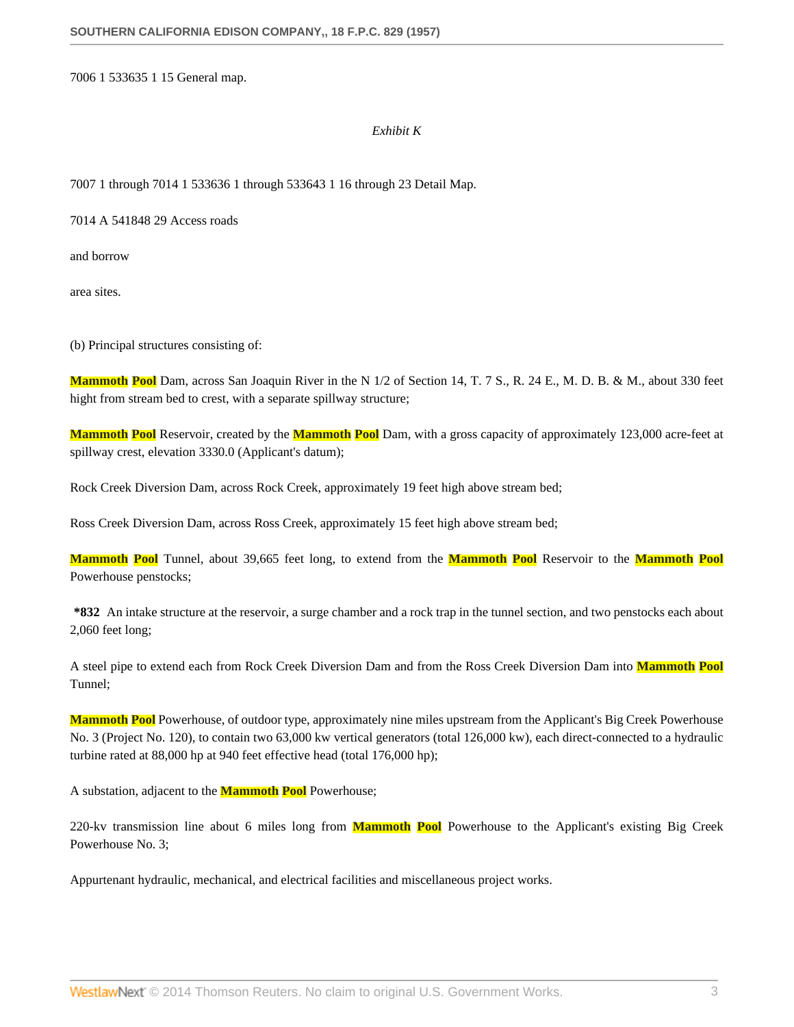7006 1 533635 1 15 General map.

#### *Exhibit K*

7007 1 through 7014 1 533636 1 through 533643 1 16 through 23 Detail Map.

7014 A 541848 29 Access roads

and borrow

area sites.

(b) Principal structures consisting of:

**Mammoth Pool** Dam, across San Joaquin River in the N 1/2 of Section 14, T. 7 S., R. 24 E., M. D. B. & M., about 330 feet hight from stream bed to crest, with a separate spillway structure;

**Mammoth Pool** Reservoir, created by the **Mammoth Pool** Dam, with a gross capacity of approximately 123,000 acre-feet at spillway crest, elevation 3330.0 (Applicant's datum);

Rock Creek Diversion Dam, across Rock Creek, approximately 19 feet high above stream bed;

Ross Creek Diversion Dam, across Ross Creek, approximately 15 feet high above stream bed;

**Mammoth Pool** Tunnel, about 39,665 feet long, to extend from the **Mammoth Pool** Reservoir to the **Mammoth Pool** Powerhouse penstocks;

**\*832** An intake structure at the reservoir, a surge chamber and a rock trap in the tunnel section, and two penstocks each about 2,060 feet long;

A steel pipe to extend each from Rock Creek Diversion Dam and from the Ross Creek Diversion Dam into **Mammoth Pool** Tunnel;

**Mammoth Pool** Powerhouse, of outdoor type, approximately nine miles upstream from the Applicant's Big Creek Powerhouse No. 3 (Project No. 120), to contain two 63,000 kw vertical generators (total 126,000 kw), each direct-connected to a hydraulic turbine rated at 88,000 hp at 940 feet effective head (total 176,000 hp);

A substation, adjacent to the **Mammoth Pool** Powerhouse;

220-kv transmission line about 6 miles long from **Mammoth Pool** Powerhouse to the Applicant's existing Big Creek Powerhouse No. 3;

Appurtenant hydraulic, mechanical, and electrical facilities and miscellaneous project works.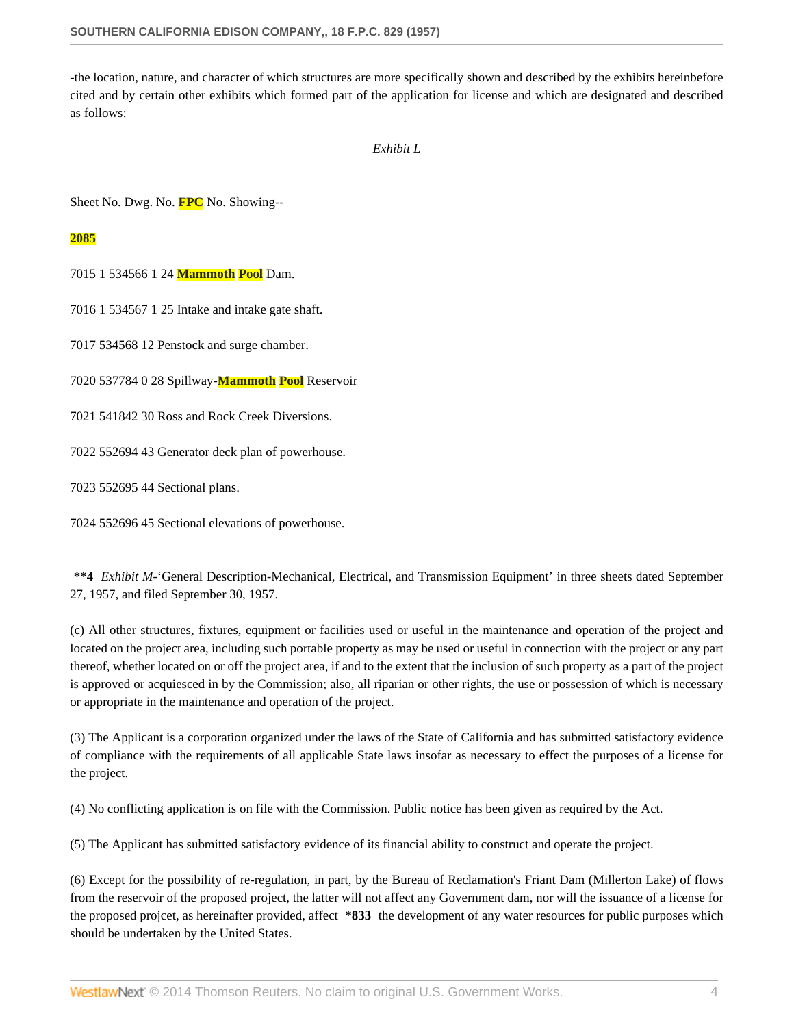-the location, nature, and character of which structures are more specifically shown and described by the exhibits hereinbefore cited and by certain other exhibits which formed part of the application for license and which are designated and described as follows:

### *Exhibit L*

Sheet No. Dwg. No. **FPC** No. Showing--

#### **2085**

7015 1 534566 1 24 **Mammoth Pool** Dam.

7016 1 534567 1 25 Intake and intake gate shaft.

7017 534568 12 Penstock and surge chamber.

7020 537784 0 28 Spillway-**Mammoth Pool** Reservoir

7021 541842 30 Ross and Rock Creek Diversions.

7022 552694 43 Generator deck plan of powerhouse.

7023 552695 44 Sectional plans.

7024 552696 45 Sectional elevations of powerhouse.

**\*\*4** *Exhibit M*-'General Description-Mechanical, Electrical, and Transmission Equipment' in three sheets dated September 27, 1957, and filed September 30, 1957.

(c) All other structures, fixtures, equipment or facilities used or useful in the maintenance and operation of the project and located on the project area, including such portable property as may be used or useful in connection with the project or any part thereof, whether located on or off the project area, if and to the extent that the inclusion of such property as a part of the project is approved or acquiesced in by the Commission; also, all riparian or other rights, the use or possession of which is necessary or appropriate in the maintenance and operation of the project.

(3) The Applicant is a corporation organized under the laws of the State of California and has submitted satisfactory evidence of compliance with the requirements of all applicable State laws insofar as necessary to effect the purposes of a license for the project.

(4) No conflicting application is on file with the Commission. Public notice has been given as required by the Act.

(5) The Applicant has submitted satisfactory evidence of its financial ability to construct and operate the project.

(6) Except for the possibility of re-regulation, in part, by the Bureau of Reclamation's Friant Dam (Millerton Lake) of flows from the reservoir of the proposed project, the latter will not affect any Government dam, nor will the issuance of a license for the proposed projcet, as hereinafter provided, affect **\*833** the development of any water resources for public purposes which should be undertaken by the United States.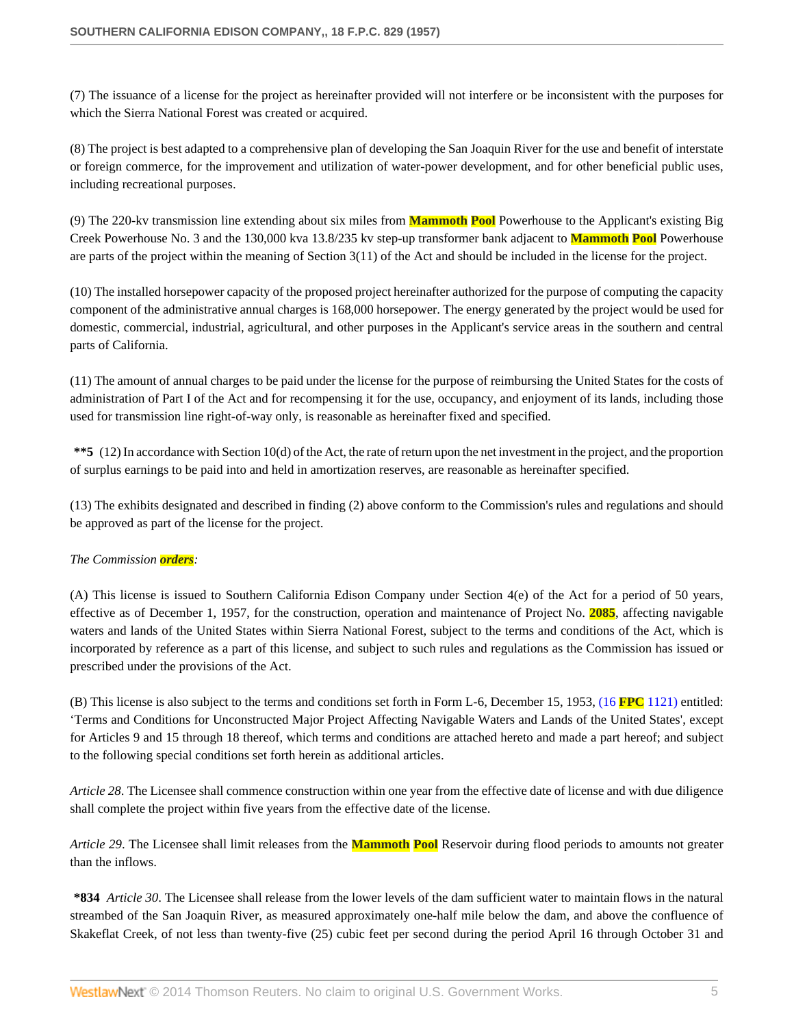(7) The issuance of a license for the project as hereinafter provided will not interfere or be inconsistent with the purposes for which the Sierra National Forest was created or acquired.

(8) The project is best adapted to a comprehensive plan of developing the San Joaquin River for the use and benefit of interstate or foreign commerce, for the improvement and utilization of water-power development, and for other beneficial public uses, including recreational purposes.

(9) The 220-kv transmission line extending about six miles from **Mammoth Pool** Powerhouse to the Applicant's existing Big Creek Powerhouse No. 3 and the 130,000 kva 13.8/235 kv step-up transformer bank adjacent to **Mammoth Pool** Powerhouse are parts of the project within the meaning of Section 3(11) of the Act and should be included in the license for the project.

(10) The installed horsepower capacity of the proposed project hereinafter authorized for the purpose of computing the capacity component of the administrative annual charges is 168,000 horsepower. The energy generated by the project would be used for domestic, commercial, industrial, agricultural, and other purposes in the Applicant's service areas in the southern and central parts of California.

(11) The amount of annual charges to be paid under the license for the purpose of reimbursing the United States for the costs of administration of Part I of the Act and for recompensing it for the use, occupancy, and enjoyment of its lands, including those used for transmission line right-of-way only, is reasonable as hereinafter fixed and specified.

**\*\*5** (12) In accordance with Section 10(d) of the Act, the rate of return upon the net investment in the project, and the proportion of surplus earnings to be paid into and held in amortization reserves, are reasonable as hereinafter specified.

(13) The exhibits designated and described in finding (2) above conform to the Commission's rules and regulations and should be approved as part of the license for the project.

## *The Commission orders:*

(A) This license is issued to Southern California Edison Company under Section 4(e) of the Act for a period of 50 years, effective as of December 1, 1957, for the construction, operation and maintenance of Project No. **2085**, affecting navigable waters and lands of the United States within Sierra National Forest, subject to the terms and conditions of the Act, which is incorporated by reference as a part of this license, and subject to such rules and regulations as the Commission has issued or prescribed under the provisions of the Act.

(B) This license is also subject to the terms and conditions set forth in Form L-6, December 15, 1953, (16 **FPC** [1121\)](http://www.westlaw.com/Link/Document/FullText?findType=Y&serNum=1956054521&pubNum=921&originationContext=document&vr=3.0&rs=cblt1.0&transitionType=DocumentItem&contextData=(sc.Search)) entitled: 'Terms and Conditions for Unconstructed Major Project Affecting Navigable Waters and Lands of the United States', except for Articles 9 and 15 through 18 thereof, which terms and conditions are attached hereto and made a part hereof; and subject to the following special conditions set forth herein as additional articles.

*Article 28*. The Licensee shall commence construction within one year from the effective date of license and with due diligence shall complete the project within five years from the effective date of the license.

*Article 29*. The Licensee shall limit releases from the **Mammoth Pool** Reservoir during flood periods to amounts not greater than the inflows.

**\*834** *Article 30*. The Licensee shall release from the lower levels of the dam sufficient water to maintain flows in the natural streambed of the San Joaquin River, as measured approximately one-half mile below the dam, and above the confluence of Skakeflat Creek, of not less than twenty-five (25) cubic feet per second during the period April 16 through October 31 and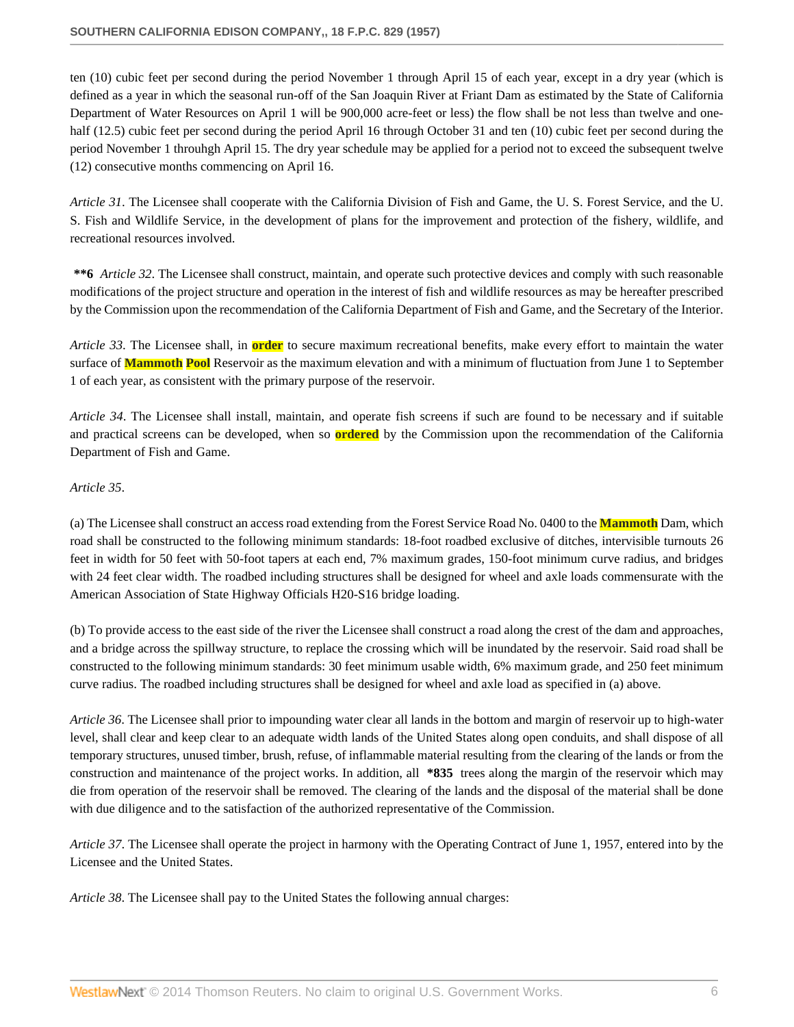ten (10) cubic feet per second during the period November 1 through April 15 of each year, except in a dry year (which is defined as a year in which the seasonal run-off of the San Joaquin River at Friant Dam as estimated by the State of California Department of Water Resources on April 1 will be 900,000 acre-feet or less) the flow shall be not less than twelve and onehalf (12.5) cubic feet per second during the period April 16 through October 31 and ten (10) cubic feet per second during the period November 1 throuhgh April 15. The dry year schedule may be applied for a period not to exceed the subsequent twelve (12) consecutive months commencing on April 16.

*Article 31*. The Licensee shall cooperate with the California Division of Fish and Game, the U. S. Forest Service, and the U. S. Fish and Wildlife Service, in the development of plans for the improvement and protection of the fishery, wildlife, and recreational resources involved.

**\*\*6** *Article 32*. The Licensee shall construct, maintain, and operate such protective devices and comply with such reasonable modifications of the project structure and operation in the interest of fish and wildlife resources as may be hereafter prescribed by the Commission upon the recommendation of the California Department of Fish and Game, and the Secretary of the Interior.

*Article 33*. The Licensee shall, in **order** to secure maximum recreational benefits, make every effort to maintain the water surface of **Mammoth Pool** Reservoir as the maximum elevation and with a minimum of fluctuation from June 1 to September 1 of each year, as consistent with the primary purpose of the reservoir.

*Article 34*. The Licensee shall install, maintain, and operate fish screens if such are found to be necessary and if suitable and practical screens can be developed, when so **ordered** by the Commission upon the recommendation of the California Department of Fish and Game.

## *Article 35*.

(a) The Licensee shall construct an access road extending from the Forest Service Road No. 0400 to the **Mammoth** Dam, which road shall be constructed to the following minimum standards: 18-foot roadbed exclusive of ditches, intervisible turnouts 26 feet in width for 50 feet with 50-foot tapers at each end, 7% maximum grades, 150-foot minimum curve radius, and bridges with 24 feet clear width. The roadbed including structures shall be designed for wheel and axle loads commensurate with the American Association of State Highway Officials H20-S16 bridge loading.

(b) To provide access to the east side of the river the Licensee shall construct a road along the crest of the dam and approaches, and a bridge across the spillway structure, to replace the crossing which will be inundated by the reservoir. Said road shall be constructed to the following minimum standards: 30 feet minimum usable width, 6% maximum grade, and 250 feet minimum curve radius. The roadbed including structures shall be designed for wheel and axle load as specified in (a) above.

*Article 36*. The Licensee shall prior to impounding water clear all lands in the bottom and margin of reservoir up to high-water level, shall clear and keep clear to an adequate width lands of the United States along open conduits, and shall dispose of all temporary structures, unused timber, brush, refuse, of inflammable material resulting from the clearing of the lands or from the construction and maintenance of the project works. In addition, all **\*835** trees along the margin of the reservoir which may die from operation of the reservoir shall be removed. The clearing of the lands and the disposal of the material shall be done with due diligence and to the satisfaction of the authorized representative of the Commission.

*Article 37*. The Licensee shall operate the project in harmony with the Operating Contract of June 1, 1957, entered into by the Licensee and the United States.

*Article 38*. The Licensee shall pay to the United States the following annual charges: